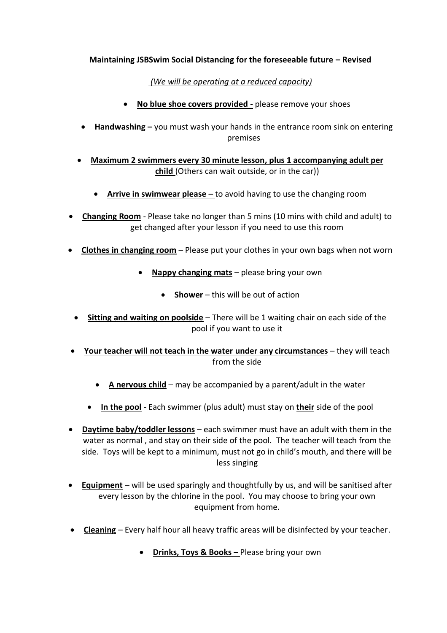## **Maintaining JSBSwim Social Distancing for the foreseeable future – Revised**

*(We will be operating at a reduced capacity)*

- **No blue shoe covers provided -** please remove your shoes
- **Handwashing –** you must wash your hands in the entrance room sink on entering premises
- **Maximum 2 swimmers every 30 minute lesson, plus 1 accompanying adult per child** (Others can wait outside, or in the car))
	- **Arrive in swimwear please –** to avoid having to use the changing room
- **Changing Room** Please take no longer than 5 mins (10 mins with child and adult) to get changed after your lesson if you need to use this room
- **Clothes in changing room** Please put your clothes in your own bags when not worn
	- **Nappy changing mats** please bring your own
		- **Shower** this will be out of action
	- **Sitting and waiting on poolside** There will be 1 waiting chair on each side of the pool if you want to use it
- **Your teacher will not teach in the water under any circumstances** they will teach from the side
	- **A nervous child** may be accompanied by a parent/adult in the water
	- **In the pool** Each swimmer (plus adult) must stay on **their** side of the pool
- **Daytime baby/toddler lessons** each swimmer must have an adult with them in the water as normal , and stay on their side of the pool. The teacher will teach from the side. Toys will be kept to a minimum, must not go in child's mouth, and there will be less singing
- **Equipment** will be used sparingly and thoughtfully by us, and will be sanitised after every lesson by the chlorine in the pool. You may choose to bring your own equipment from home.
- **Cleaning** Every half hour all heavy traffic areas will be disinfected by your teacher.
	- **Drinks, Toys & Books –** Please bring your own